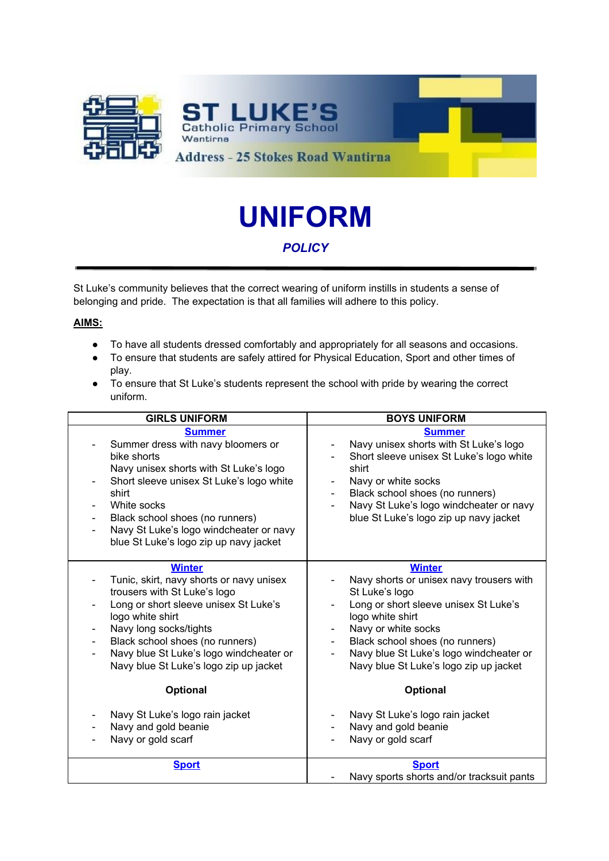

# **UNIFORM**

## *POLICY*

St Luke's community believes that the correct wearing of uniform instills in students a sense of belonging and pride. The expectation is that all families will adhere to this policy.

#### **AIMS:**

- To have all students dressed comfortably and appropriately for all seasons and occasions.
- To ensure that students are safely attired for Physical Education, Sport and other times of play.
- To ensure that St Luke's students represent the school with pride by wearing the correct uniform.

| <b>GIRLS UNIFORM</b>                                                                                                                                                                                                                                                                                                      | <b>BOYS UNIFORM</b>                                                                                                                                                                                                                                                                                                                                      |
|---------------------------------------------------------------------------------------------------------------------------------------------------------------------------------------------------------------------------------------------------------------------------------------------------------------------------|----------------------------------------------------------------------------------------------------------------------------------------------------------------------------------------------------------------------------------------------------------------------------------------------------------------------------------------------------------|
| <b>Summer</b><br>Summer dress with navy bloomers or<br>bike shorts<br>Navy unisex shorts with St Luke's logo<br>Short sleeve unisex St Luke's logo white<br>shirt<br>White socks<br>Black school shoes (no runners)<br>Navy St Luke's logo windcheater or navy<br>$\frac{1}{2}$<br>blue St Luke's logo zip up navy jacket | <b>Summer</b><br>Navy unisex shorts with St Luke's logo<br>Short sleeve unisex St Luke's logo white<br>shirt<br>Navy or white socks<br>$\blacksquare$<br>Black school shoes (no runners)<br>Navy St Luke's logo windcheater or navy<br>blue St Luke's logo zip up navy jacket                                                                            |
| <b>Winter</b><br>Tunic, skirt, navy shorts or navy unisex<br>trousers with St Luke's logo<br>Long or short sleeve unisex St Luke's<br>logo white shirt<br>Navy long socks/tights<br>Black school shoes (no runners)<br>Navy blue St Luke's logo windcheater or<br>Navy blue St Luke's logo zip up jacket<br>Optional      | <b>Winter</b><br>Navy shorts or unisex navy trousers with<br>St Luke's logo<br>Long or short sleeve unisex St Luke's<br>logo white shirt<br>Navy or white socks<br>$\overline{\phantom{a}}$<br>Black school shoes (no runners)<br>$\blacksquare$<br>Navy blue St Luke's logo windcheater or<br>Navy blue St Luke's logo zip up jacket<br><b>Optional</b> |
| Navy St Luke's logo rain jacket<br>Navy and gold beanie<br>Navy or gold scarf                                                                                                                                                                                                                                             | Navy St Luke's logo rain jacket<br>Navy and gold beanie<br>Navy or gold scarf                                                                                                                                                                                                                                                                            |
| <b>Sport</b>                                                                                                                                                                                                                                                                                                              | <b>Sport</b><br>Navy sports shorts and/or tracksuit pants                                                                                                                                                                                                                                                                                                |